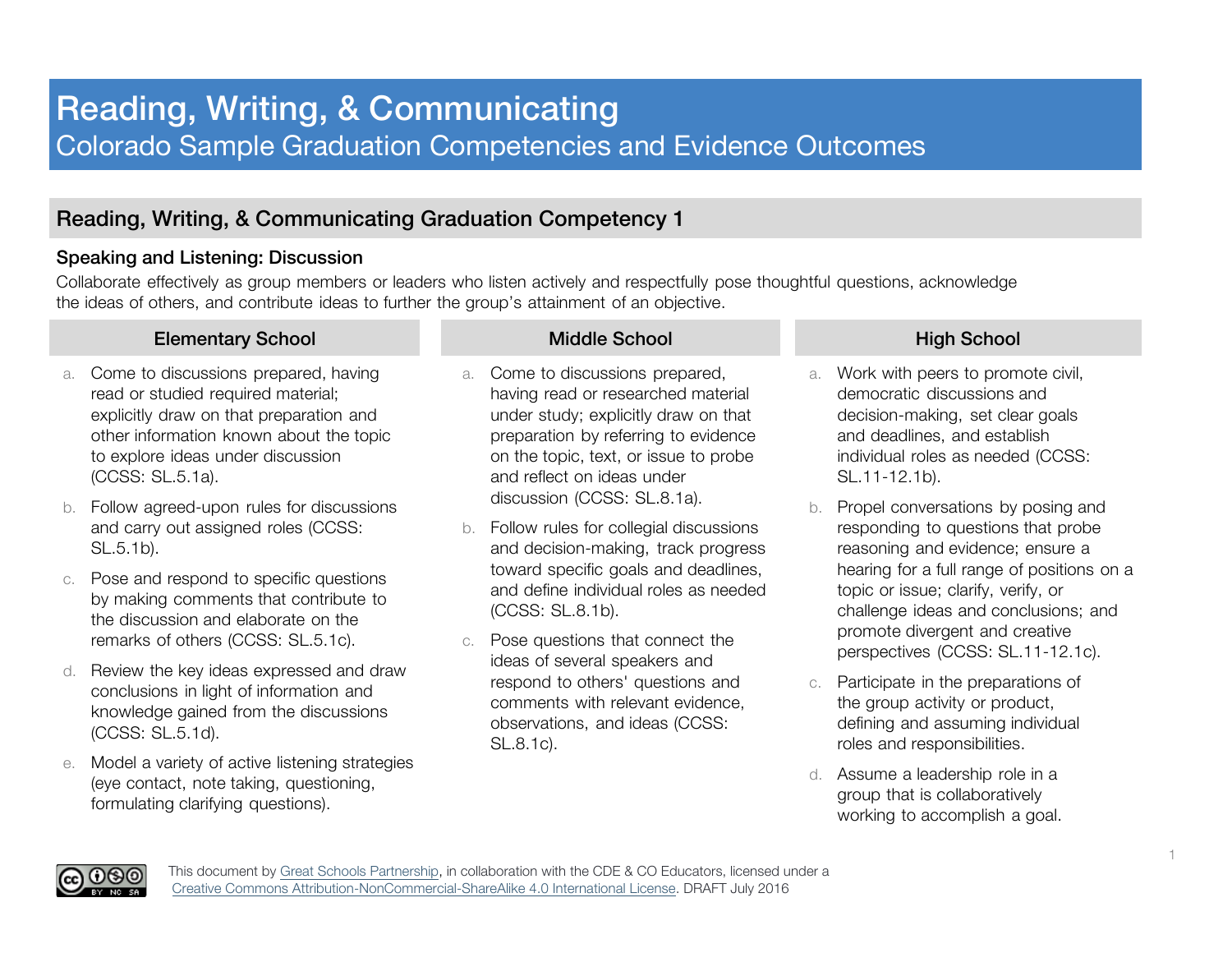# Reading, Writing, & Communicating Colorado Sample Graduation Competencies and Evidence Outcomes

# Reading, Writing, & Communicating Graduation Competency 1

# Speaking and Listening: Discussion

Collaborate effectively as group members or leaders who listen actively and respectfully pose thoughtful questions, acknowledge the ideas of others, and contribute ideas to further the group's attainment of an objective.

## Elementary School Middle School Middle School High School

- a. Come to discussions prepared, having read or studied required material; explicitly draw on that preparation and other information known about the topic to explore ideas under discussion (CCSS: SL.5.1a).
- b. Follow agreed-upon rules for discussions and carry out assigned roles (CCSS: SL.5.1b).
- c. Pose and respond to specific questions by making comments that contribute to the discussion and elaborate on the remarks of others (CCSS: SL.5.1c).
- d. Review the key ideas expressed and draw conclusions in light of information and knowledge gained from the discussions (CCSS: SL.5.1d).
- e. Model a variety of active listening strategies (eye contact, note taking, questioning, formulating clarifying questions).

- a. Come to discussions prepared, having read or researched material under study; explicitly draw on that preparation by referring to evidence on the topic, text, or issue to probe and reflect on ideas under discussion (CCSS: SL.8.1a).
- b. Follow rules for collegial discussions and decision-making, track progress toward specific goals and deadlines, and define individual roles as needed (CCSS: SL.8.1b).
- c. Pose questions that connect the ideas of several speakers and respond to others' questions and comments with relevant evidence, observations, and ideas (CCSS: SL.8.1c).

- a. Work with peers to promote civil, democratic discussions and decision-making, set clear goals and deadlines, and establish individual roles as needed (CCSS: SL.11-12.1b).
- b. Propel conversations by posing and responding to questions that probe reasoning and evidence; ensure a hearing for a full range of positions on a topic or issue; clarify, verify, or challenge ideas and conclusions; and promote divergent and creative perspectives (CCSS: SL.11-12.1c).
- c. Participate in the preparations of the group activity or product, defining and assuming individual roles and responsibilities.
- d. Assume a leadership role in a group that is collaboratively working to accomplish a goal.



This document by Great Schools Partnership, in collaboration with the CDE & CO Educators, licensed under a Creative Commons Attribution-NonCommercial-ShareAlike 4.0 International License. DRAFT July 2016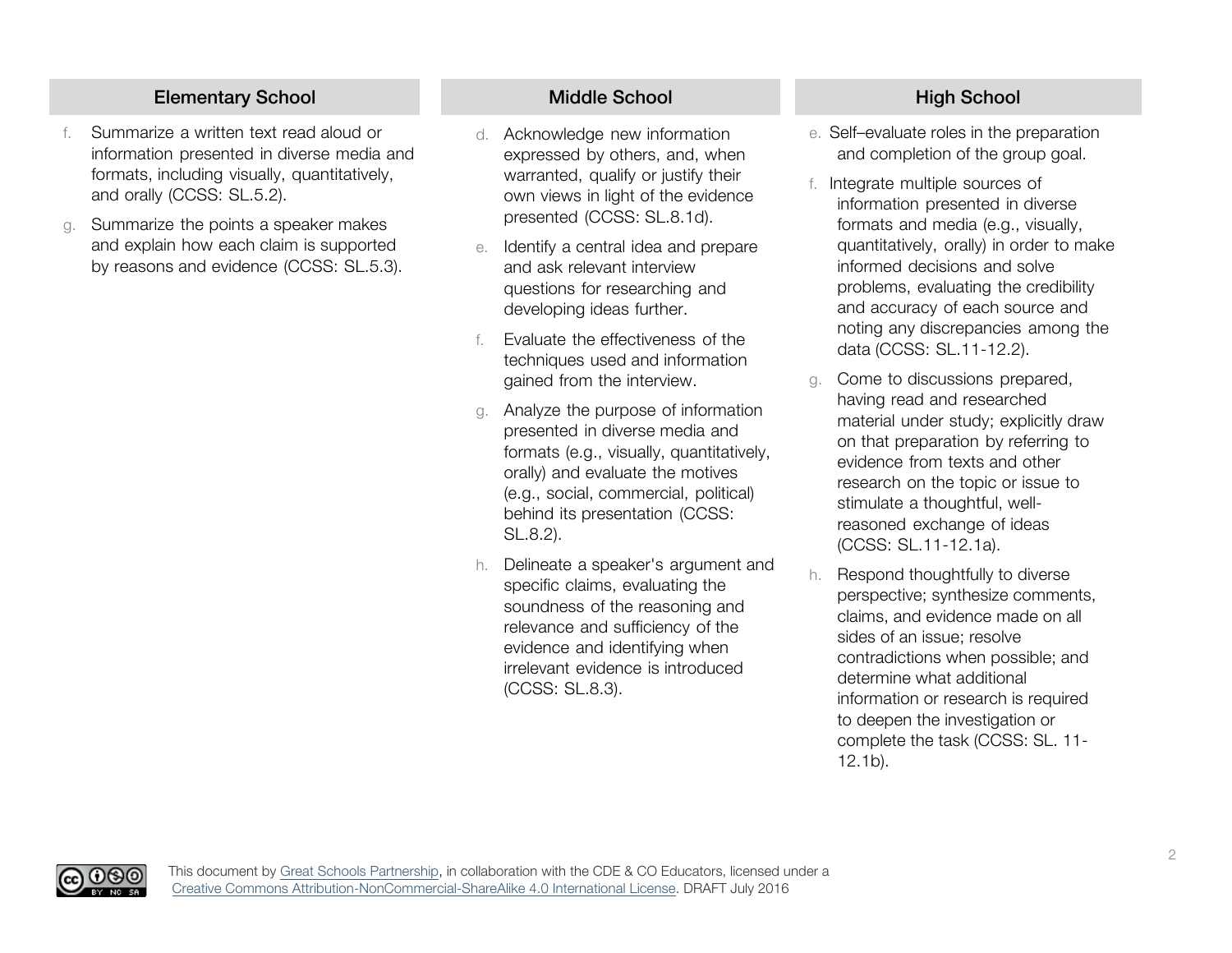# Elementary School Middle School Middle School High School

- Summarize a written text read aloud or information presented in diverse media and formats, including visually, quantitatively, and orally (CCSS: SL.5.2).
- g. Summarize the points a speaker makes and explain how each claim is supported by reasons and evidence (CCSS: SL.5.3).

(၂(၄)(၁

- d. Acknowledge new information expressed by others, and, when warranted, qualify or justify their own views in light of the evidence presented (CCSS: SL.8.1d).
- e. Identify a central idea and prepare and ask relevant interview questions for researching and developing ideas further.
- f. Evaluate the effectiveness of the techniques used and information gained from the interview.
- Analyze the purpose of information presented in diverse media and formats (e.g., visually, quantitatively, orally) and evaluate the motives (e.g., social, commercial, political) behind its presentation (CCSS: SL.8.2).
- h. Delineate a speaker's argument and specific claims, evaluating the soundness of the reasoning and relevance and sufficiency of the evidence and identifying when irrelevant evidence is introduced (CCSS: SL.8.3).

- e. Self–evaluate roles in the preparation and completion of the group goal.
- f. Integrate multiple sources of information presented in diverse formats and media (e.g., visually, quantitatively, orally) in order to make informed decisions and solve problems, evaluating the credibility and accuracy of each source and noting any discrepancies among the data (CCSS: SL.11-12.2).
- g. Come to discussions prepared, having read and researched material under study; explicitly draw on that preparation by referring to evidence from texts and other research on the topic or issue to stimulate a thoughtful, wellreasoned exchange of ideas (CCSS: SL.11-12.1a).
- h. Respond thoughtfully to diverse perspective; synthesize comments, claims, and evidence made on all sides of an issue; resolve contradictions when possible; and determine what additional information or research is required to deepen the investigation or complete the task (CCSS: SL. 11- 12.1b).